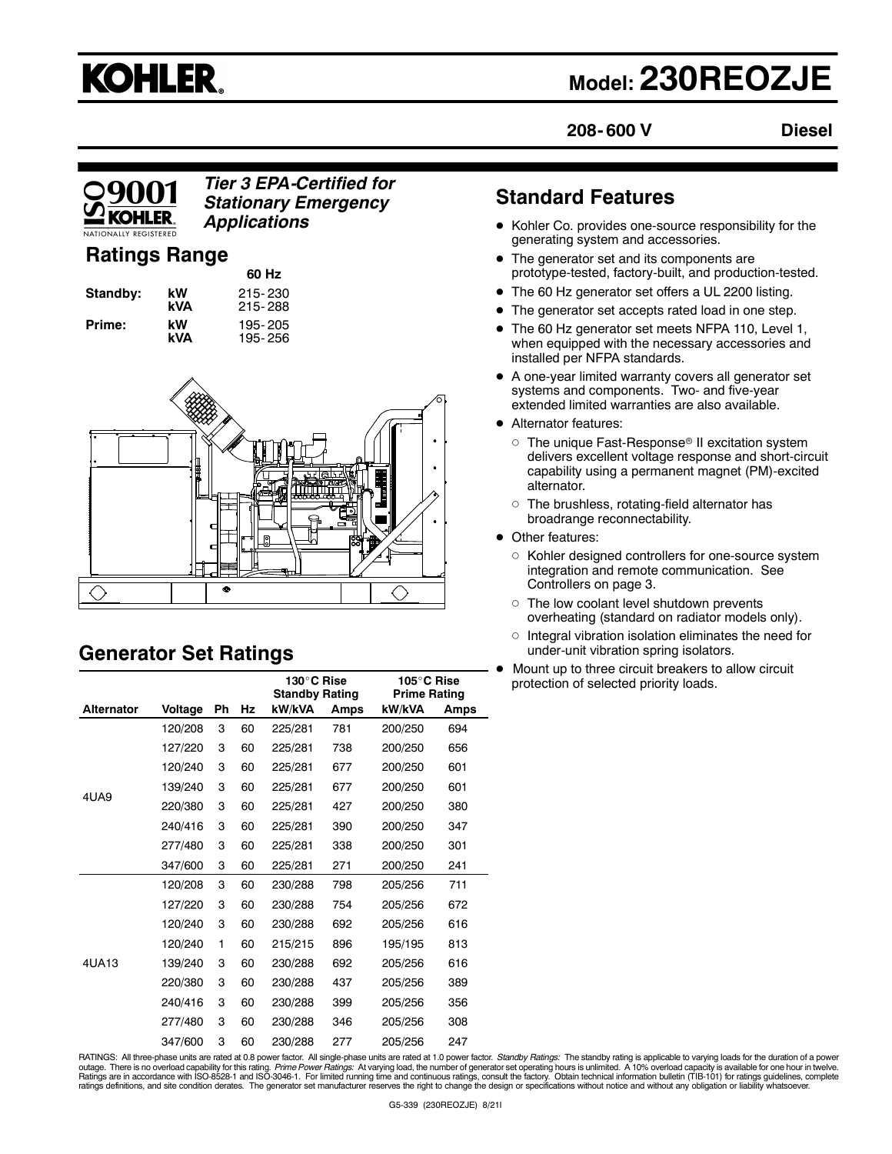# **KOHLER.**

## **Model: 230REOZJE**

**208- 600 V Diesel**

## *Tier 3 EPA-Certified for Stationary Emergency Applications*

## **Ratings Range**

|          |     | 60 Hz   |
|----------|-----|---------|
| Standby: | kW  | 215-230 |
|          | kVA | 215-288 |
| Prime:   | kW  | 195-205 |
|          | kVA | 195-256 |



## **Generator Set Ratings**

|            |         |    |    | 130°C Rise<br><b>Standby Rating</b> |      | 105°C Rise<br><b>Prime Rating</b> |      |
|------------|---------|----|----|-------------------------------------|------|-----------------------------------|------|
| Alternator | Voltage | Ph | Hz | kW/kVA                              | Amps | kW/kVA                            | Amps |
|            | 120/208 | 3  | 60 | 225/281                             | 781  | 200/250                           | 694  |
|            | 127/220 | 3  | 60 | 225/281                             | 738  | 200/250                           | 656  |
|            | 120/240 | 3  | 60 | 225/281                             | 677  | 200/250                           | 601  |
|            | 139/240 | 3  | 60 | 225/281                             | 677  | 200/250                           | 601  |
| 4UA9       | 220/380 | 3  | 60 | 225/281                             | 427  | 200/250                           | 380  |
|            | 240/416 | 3  | 60 | 225/281                             | 390  | 200/250                           | 347  |
|            | 277/480 | 3  | 60 | 225/281                             | 338  | 200/250                           | 301  |
|            | 347/600 | 3  | 60 | 225/281                             | 271  | 200/250                           | 241  |
|            | 120/208 | 3  | 60 | 230/288                             | 798  | 205/256                           | 711  |
|            | 127/220 | 3  | 60 | 230/288                             | 754  | 205/256                           | 672  |
|            | 120/240 | 3  | 60 | 230/288                             | 692  | 205/256                           | 616  |
| 4UA13      | 120/240 | 1  | 60 | 215/215                             | 896  | 195/195                           | 813  |
|            | 139/240 | 3  | 60 | 230/288                             | 692  | 205/256                           | 616  |
|            | 220/380 | 3  | 60 | 230/288                             | 437  | 205/256                           | 389  |
|            | 240/416 | 3  | 60 | 230/288                             | 399  | 205/256                           | 356  |
|            | 277/480 | 3  | 60 | 230/288                             | 346  | 205/256                           | 308  |
|            | 347/600 | 3  | 60 | 230/288                             | 277  | 205/256                           | 247  |

## **Standard Features**

- Kohler Co. provides one-source responsibility for the generating system and accessories.
- The generator set and its components are prototype-tested, factory-built, and production-tested.
- The 60 Hz generator set offers a UL 2200 listing.
- The generator set accepts rated load in one step.
- The 60 Hz generator set meets NFPA 110, Level 1, when equipped with the necessary accessories and installed per NFPA standards.
- A one-year limited warranty covers all generator set systems and components. Two- and five-year extended limited warranties are also available.
- Alternator features:
	- $\circ~$  The unique Fast-Response® II excitation system delivers excellent voltage response and short-circuit capability using a permanent magnet (PM)-excited alternator.
	- $\circ~$  The brushless, rotating-field alternator has broadrange reconnectability.
- Other features:
	- o Kohler designed controllers for one-source system integration and remote communication. See Controllers on page 3.
	- The low coolant level shutdown prevents overheating (standard on radiator models only).
	- Integral vibration isolation eliminates the need for under-unit vibration spring isolators.
- Mount up to three circuit breakers to allow circuit protection of selected priority loads.

RATINGS: All three-phase units are rated at 0.8 power factor. All single-phase units are rated at 1.0 power factor. *Standby Ratings:* The standby rating is applicable to varying loads for the duration of a power power pow ratings definitions, and site condition derates. The generator set manufacturer reserves the right to change the design or specifications without notice and without any obligation or liability whatsoever.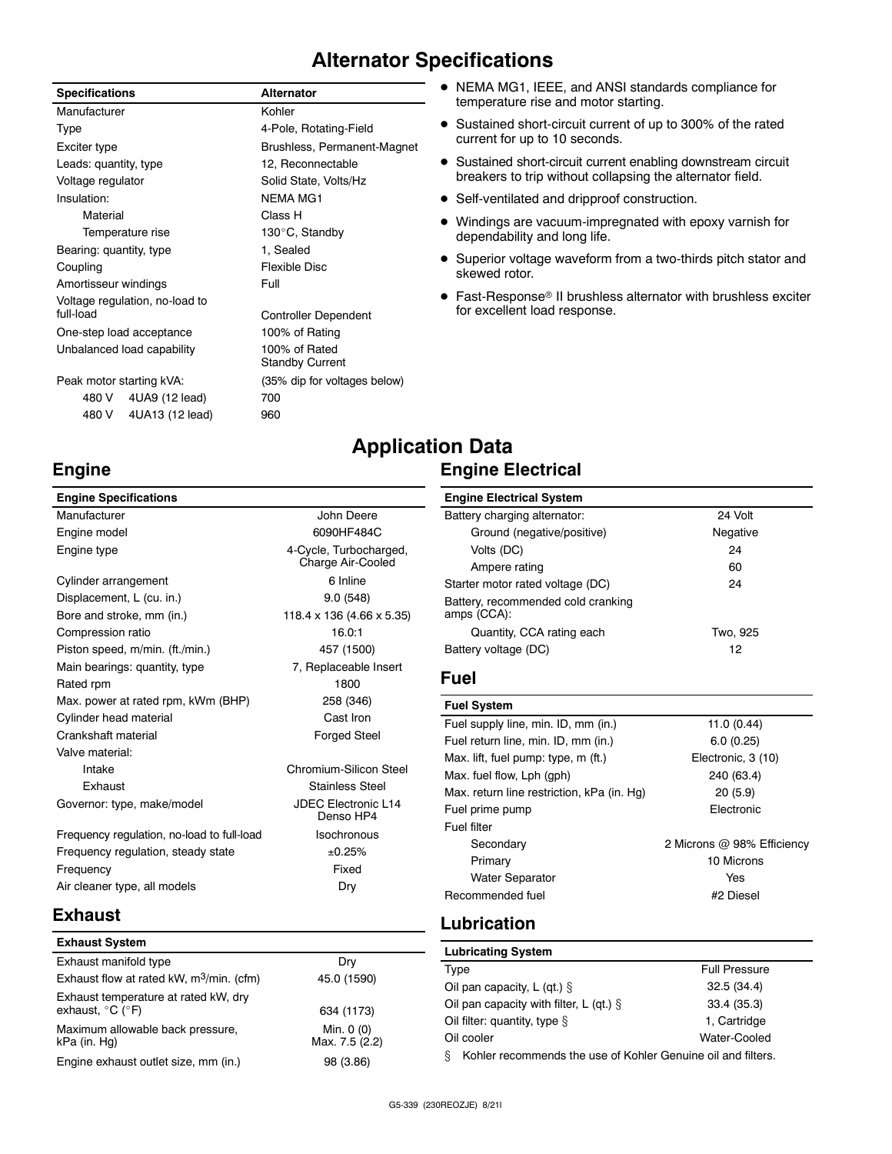## **Alternator Specifications**

#### **Specifications Alternator**

| Manufacturer                   | Kohler                                  |
|--------------------------------|-----------------------------------------|
| Type                           | 4-Pole, Rotating-Fiel                   |
| Exciter type                   | <b>Brushless, Permane</b>               |
| Leads: quantity, type          | 12, Reconnectable                       |
| Voltage regulator              | Solid State, Volts/Hz                   |
| Insulation:                    | NFMA MG1                                |
| Material                       | Class H                                 |
| Temperature rise               | 130°C, Standby                          |
| Bearing: quantity, type        | 1, Sealed                               |
| Coupling                       | Flexible Disc                           |
| Amortisseur windings           | Full                                    |
| Voltage regulation, no-load to |                                         |
| full-load                      | <b>Controller Depender</b>              |
| One-step load acceptance       | 100% of Rating                          |
| Unbalanced load capability     | 100% of Rated<br><b>Standby Current</b> |
| Peak motor starting kVA:       | (35% dip for voltages                   |
| 480 V 4UA9 (12 lead)           | 700                                     |
| 4UA13 (12 lead)<br>480 V       | 960                                     |

# ነg-Field manent-Magnet endent  $int$ bitages below)

- NEMA MG1, IEEE, and ANSI standards compliance for temperature rise and motor starting.
- Sustained short-circuit current of up to 300% of the rated current for up to 10 seconds.
- Sustained short-circuit current enabling downstream circuit breakers to trip without collapsing the alternator field.
- Self-ventilated and dripproof construction.
- Windings are vacuum-impregnated with epoxy varnish for dependability and long life.
- Superior voltage waveform from a two-thirds pitch stator and skewed rotor.
- Fast-Response<sup>®</sup> II brushless alternator with brushless exciter for excellent load response.

## **Application Data Engine Electrical**

## **Engine**

### **Engine Specifications** Manufacturer **Manufacturer** John Deere Engine model 6090HF484C Engine type  $4$ -Cycle, Turbocharged, Charge Air-Cooled Cylinder arrangement 6 Inline Displacement, L (cu. in.) 9.0 (548) Bore and stroke, mm (in.) 118.4 x 136 (4.66 x 5.35) Compression ratio 16.0:1 Piston speed, m/min. (ft./min.) 457 (1500) Main bearings: quantity, type 7, Replaceable Insert Rated rpm 1800 Max. power at rated rpm, kWm (BHP) 258 (346) Cylinder head material Cylinder head material cast Iron Crankshaft material **Forged Steel** Forged Steel Valve material: Intake Chromium-Silicon Steel Exhaust **Exhaust** Stainless Steel Governor: type, make/model JDEC Electronic L14 Denso HP4 Frequency regulation, no-load to full-load Isochronous Frequency regulation, steady state  $\pm 0.25\%$ Frequency **Fixed**

#### **Engine Electrical System** Battery charging alternator: 24 Volt Ground (negative/positive) Negative Volts (DC) 24 Ampere rating 60 Starter motor rated voltage (DC) 24

| <u>Jianel Thului Taleu vullaye (DO)</u>           | $\overline{\phantom{a}}$ |
|---------------------------------------------------|--------------------------|
| Battery, recommended cold cranking<br>amps (CCA): |                          |
| Quantity, CCA rating each                         | Two. 925                 |
| Battery voltage (DC)                              | 12                       |

## **Fuel**

| <b>Fuel System</b>                         |                            |
|--------------------------------------------|----------------------------|
| Fuel supply line, min. ID, mm (in.)        | 11.0 $(0.44)$              |
| Fuel return line, min. ID, mm (in.)        | 6.0(0.25)                  |
| Max. lift, fuel pump: type, m (ft.)        | Electronic, 3 (10)         |
| Max. fuel flow, Lph (gph)                  | 240 (63.4)                 |
| Max. return line restriction, kPa (in. Hg) | 20(5.9)                    |
| Fuel prime pump                            | Flectronic                 |
| <b>Fuel filter</b>                         |                            |
| Secondary                                  | 2 Microns @ 98% Efficiency |
| Primary                                    | 10 Microns                 |
| <b>Water Separator</b>                     | Yes                        |
| Recommended fuel                           | #2 Diesel                  |

## **Exhaust**

| <b>Exhaust System</b>                                                         |                              |
|-------------------------------------------------------------------------------|------------------------------|
| Exhaust manifold type                                                         | Dry                          |
| Exhaust flow at rated kW, $m^3$ /min. (cfm)                                   | 45.0 (1590)                  |
| Exhaust temperature at rated kW, dry<br>exhaust, $^{\circ}$ C ( $^{\circ}$ F) | 634 (1173)                   |
| Maximum allowable back pressure,<br>kPa (in. Hg)                              | Min. 0 (0)<br>Max. 7.5 (2.2) |
| Engine exhaust outlet size, mm (in.)                                          | 98 (3.86)                    |

Air cleaner type, all models **Dry** 

## **Lubrication**

| <b>Lubricating System</b>                                         |                      |  |
|-------------------------------------------------------------------|----------------------|--|
| Type                                                              | <b>Full Pressure</b> |  |
| Oil pan capacity, L (qt.) $\S$                                    | 32.5(34.4)           |  |
| Oil pan capacity with filter, L (qt.) $\S$                        | 33.4 (35.3)          |  |
| Oil filter: quantity, type §                                      | 1. Cartridge         |  |
| Oil cooler                                                        | Water-Cooled         |  |
| Kohler recommends the use of Kohler Genuine oil and filters.<br>ş |                      |  |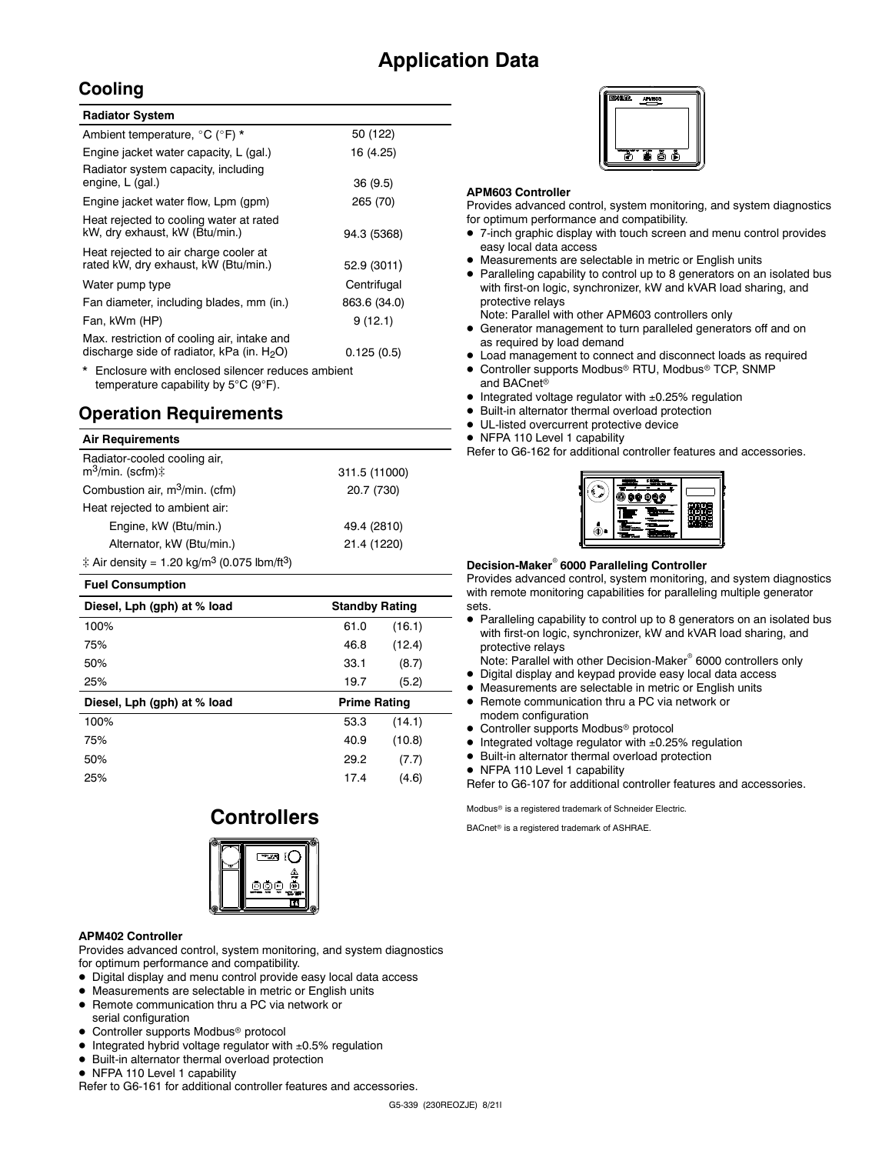## **Application Data**

## **Cooling**

| <b>Radiator System</b>                                                                        |              |
|-----------------------------------------------------------------------------------------------|--------------|
| Ambient temperature, °C (°F) *                                                                | 50 (122)     |
| Engine jacket water capacity, L (gal.)                                                        | 16 (4.25)    |
| Radiator system capacity, including<br>engine, L (gal.)                                       | 36(9.5)      |
| Engine jacket water flow, Lpm (gpm)                                                           | 265 (70)     |
| Heat rejected to cooling water at rated<br>kW, dry exhaust, kW (Btu/min.)                     | 94.3 (5368)  |
| Heat rejected to air charge cooler at<br>rated kW, dry exhaust, kW (Btu/min.)                 | 52.9 (3011)  |
| Water pump type                                                                               | Centrifugal  |
| Fan diameter, including blades, mm (in.)                                                      | 863.6 (34.0) |
| Fan, kWm (HP)                                                                                 | 9(12.1)      |
| Max. restriction of cooling air, intake and<br>discharge side of radiator, $kPa$ (in. $H2O$ ) | 0.125(0.5)   |
| * Enclosure with enclosed silencer reduces ambient                                            |              |

\* Enclosure with enclosed silencer reduces ambient temperature capability by 5°C (9°F).

## **Operation Requirements**

#### **Air Requirements**

| Radiator-cooled cooling air,<br>$m^3$ /min. (scfm) $\ddagger$       | 311.5 (11000) |
|---------------------------------------------------------------------|---------------|
| Combustion air, m <sup>3</sup> /min. (cfm)                          | 20.7 (730)    |
| Heat rejected to ambient air:                                       |               |
| Engine, kW (Btu/min.)                                               | 49.4 (2810)   |
| Alternator, kW (Btu/min.)                                           | 21.4 (1220)   |
| ‡ Air density = 1.20 kg/m <sup>3</sup> (0.075 lbm/ft <sup>3</sup> ) |               |

#### **Fuel Consumption**

| Diesel, Lph (gph) at % load |      | <b>Standby Rating</b> |  |  |
|-----------------------------|------|-----------------------|--|--|
| 100%                        | 61.0 | (16.1)                |  |  |
| 75%                         | 46.8 | (12.4)                |  |  |
| 50%                         | 33.1 | (8.7)                 |  |  |
| 25%                         | 19.7 | (5.2)                 |  |  |
| Diesel, Lph (gph) at % load |      | Prime Rating          |  |  |
| 100%                        | 53.3 | (14.1)                |  |  |
| 75%                         | 40.9 | (10.8)                |  |  |
|                             |      |                       |  |  |
| 50%                         | 29.2 | (7.7)                 |  |  |
| 25%                         | 17.4 | (4.6)                 |  |  |

## **Controllers**



#### **APM402 Controller**

Provides advanced control, system monitoring, and system diagnostics for optimum performance and compatibility.

- Digital display and menu control provide easy local data access
- Measurements are selectable in metric or English units
- Remote communication thru a PC via network or
- serial configuration
- Controller supports Modbus<sup>®</sup> protocol
- $\bullet$  Integrated hybrid voltage regulator with  $\pm 0.5\%$  regulation
- Built-in alternator thermal overload protection
- NFPA 110 Level 1 capability

Refer to G6-161 for additional controller features and accessories.



Refer to G6-107 for additional controller features and accessories.

Modbus<sup>®</sup> is a registered trademark of Schneider Electric.

BACnet<sup>®</sup> is a registered trademark of ASHRAE.



#### **APM603 Controller**

Provides advanced control, system monitoring, and system diagnostics for optimum performance and compatibility.

- 7-inch graphic display with touch screen and menu control provides easy local data access
- Measurements are selectable in metric or English units
- Paralleling capability to control up to 8 generators on an isolated bus with first-on logic, synchronizer, kW and kVAR load sharing, and protective relays
- Note: Parallel with other APM603 controllers only
- Generator management to turn paralleled generators off and on as required by load demand
- Load management to connect and disconnect loads as required
- Controller supports Modbus<sup>®</sup> RTU, Modbus<sup>®</sup> TCP, SNMP and BACnet<sup>®</sup>
- $\bullet$  Integrated voltage regulator with  $\pm 0.25\%$  regulation
- Built-in alternator thermal overload protection
- UL-listed overcurrent protective device
- NFPA 110 Level 1 capability
- Refer to G6-162 for additional controller features and accessories.



#### **Decision-Maker 6000 Paralleling Controller**

Provides advanced control, system monitoring, and system diagnostics with remote monitoring capabilities for paralleling multiple generator sets.

 Paralleling capability to control up to 8 generators on an isolated bus with first-on logic, synchronizer, kW and kVAR load sharing, and protective relays

Note: Parallel with other Decision-Maker<sup>®</sup> 6000 controllers only

- Digital display and keypad provide easy local data access
- Measurements are selectable in metric or English units
- Remote communication thru a PC via network or modem configuration
- Controller supports Modbus<sup>®</sup> protocol
- $\bullet$  Integrated voltage regulator with  $\pm 0.25\%$  regulation
- Built-in alternator thermal overload protection
- NFPA 110 Level 1 capability